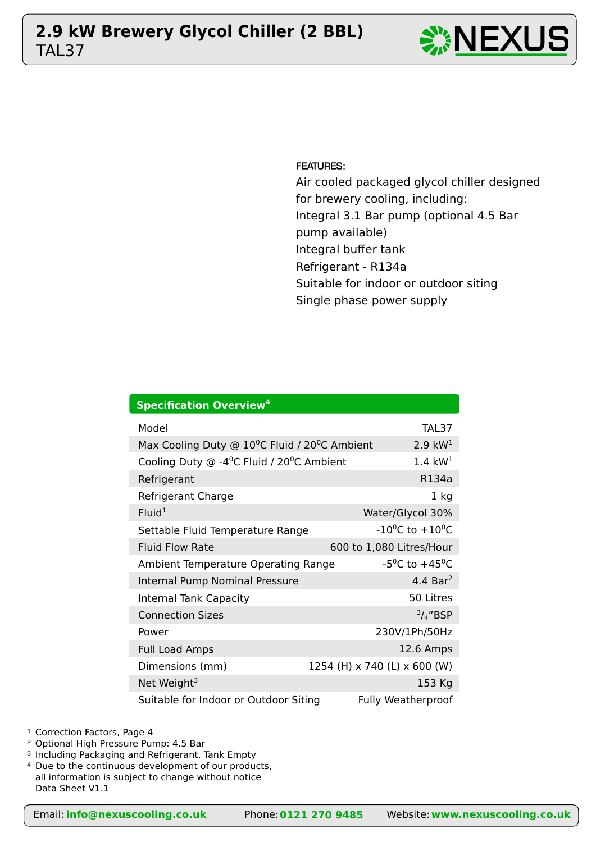# TAL37 **2.9 kW Brewery Glycol Chiller (2 BBL)** NEXUS





FEATURES:

Air cooled packaged glycol chiller designed for brewery cooling, including: Integral 3.1 Bar pump (optional 4.5 Bar pump available) Integral buffer tank Refrigerant - R134a Suitable for indoor or outdoor siting Single phase power supply

| <b>Specification Overview<sup>4</sup></b>                                |                                         |  |  |  |  |  |  |  |  |  |
|--------------------------------------------------------------------------|-----------------------------------------|--|--|--|--|--|--|--|--|--|
| Model                                                                    | TAL37                                   |  |  |  |  |  |  |  |  |  |
| Max Cooling Duty @ 10°C Fluid / 20°C Ambient                             | 2.9 $kW1$                               |  |  |  |  |  |  |  |  |  |
| Cooling Duty $\odot$ -4 <sup>o</sup> C Fluid / 20 <sup>o</sup> C Ambient | $1.4 \text{ kW}^{1}$                    |  |  |  |  |  |  |  |  |  |
| Refrigerant                                                              | R134a                                   |  |  |  |  |  |  |  |  |  |
| Refrigerant Charge                                                       | 1 <sub>kg</sub>                         |  |  |  |  |  |  |  |  |  |
| Fluid <sup>1</sup>                                                       | Water/Glycol 30%                        |  |  |  |  |  |  |  |  |  |
| Settable Fluid Temperature Range                                         | $-10^{0}$ C to $+10^{0}$ C              |  |  |  |  |  |  |  |  |  |
| <b>Fluid Flow Rate</b>                                                   | 600 to 1,080 Litres/Hour                |  |  |  |  |  |  |  |  |  |
| Ambient Temperature Operating Range                                      | -5 <sup>o</sup> C to +45 <sup>o</sup> C |  |  |  |  |  |  |  |  |  |
| Internal Pump Nominal Pressure                                           | 4.4 Bar <sup>2</sup>                    |  |  |  |  |  |  |  |  |  |
| <b>Internal Tank Capacity</b>                                            | 50 Litres                               |  |  |  |  |  |  |  |  |  |
| <b>Connection Sizes</b>                                                  | $\frac{3}{4}$ "BSP                      |  |  |  |  |  |  |  |  |  |
| Power                                                                    | 230V/1Ph/50Hz                           |  |  |  |  |  |  |  |  |  |
| <b>Full Load Amps</b>                                                    | 12.6 Amps                               |  |  |  |  |  |  |  |  |  |
| Dimensions (mm)                                                          | 1254 (H) x 740 (L) x 600 (W)            |  |  |  |  |  |  |  |  |  |
| Net Weight <sup>3</sup>                                                  | 153 Kg                                  |  |  |  |  |  |  |  |  |  |
| Suitable for Indoor or Outdoor Siting                                    | <b>Fully Weatherproof</b>               |  |  |  |  |  |  |  |  |  |

<sup>2</sup> Optional High Pressure Pump: 4.5 Bar

<sup>3</sup> Including Packaging and Refrigerant, Tank Empty

<sup>4</sup> Due to the continuous development of our products,

all information is subject to change without notice Data Sheet V1.1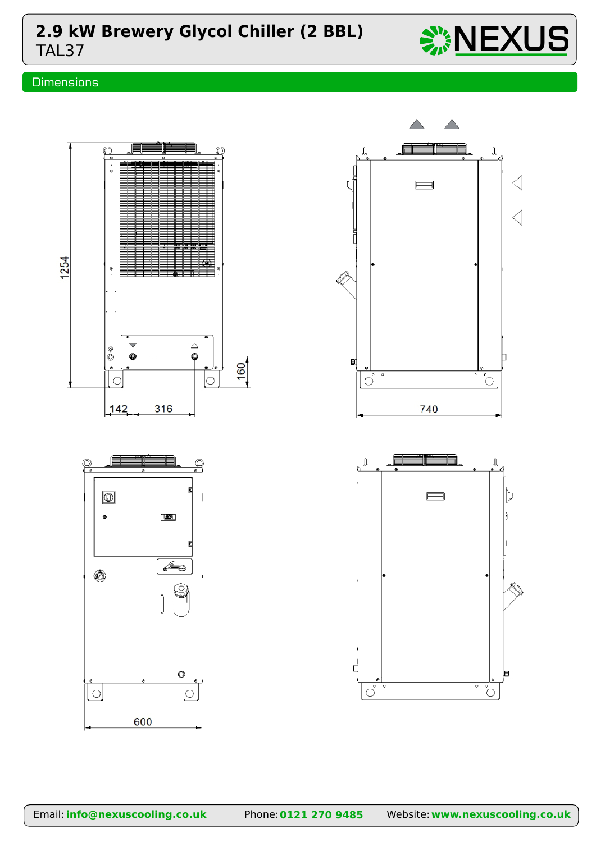## TAL37 **2.9 kW Brewery Glycol Chiller (2 BBL)**  $\frac{1}{2}$  NEXUS

## **Dimensions**



 $\ddot{\circ}$ 

600

 $\circ$ 

Īо

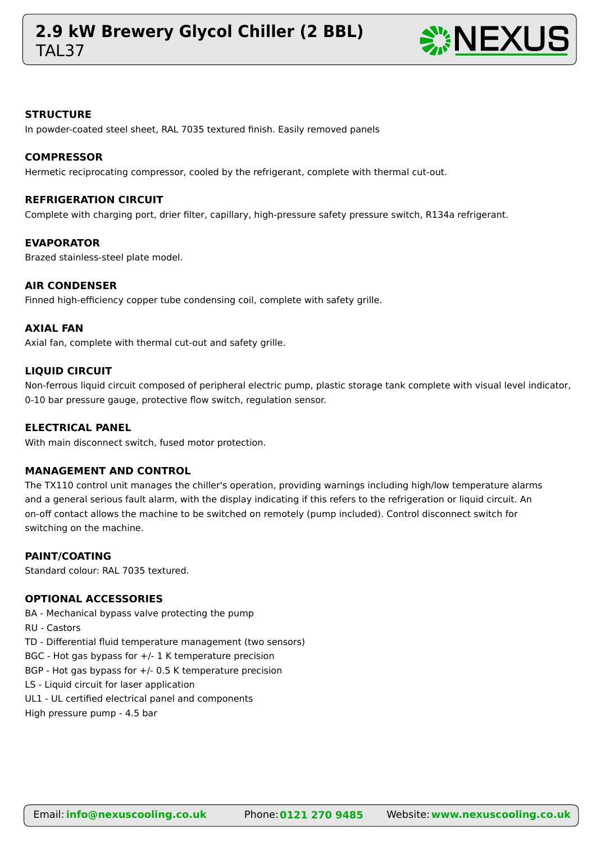## **TAL37 2.9 kW Brewery Glycol Chiller (2 BBL)** NEXUS



#### **STRUCTURE**

In powder-coated steel sheet, RAL 7035 textured finish. Easily removed panels

#### **COMPRESSOR**

Hermetic reciprocating compressor, cooled by the refrigerant, complete with thermal cut-out.

#### **REFRIGERATION CIRCUIT**

Complete with charging port, drier filter, capillary, high-pressure safety pressure switch, R134a refrigerant.

#### **EVAPORATOR**

Brazed stainless-steel plate model.

#### **AIR CONDENSER**

Finned high-efficiency copper tube condensing coil, complete with safety grille.

#### **AXIAL FAN**

Axial fan, complete with thermal cut-out and safety grille.

#### **LIQUID CIRCUIT**

Non-ferrous liquid circuit composed of peripheral electric pump, plastic storage tank complete with visual level indicator, 0-10 bar pressure gauge, protective flow switch, regulation sensor.

#### **ELECTRICAL PANEL**

With main disconnect switch, fused motor protection.

#### **MANAGEMENT AND CONTROL**

The TX110 control unit manages the chiller's operation, providing warnings including high/low temperature alarms and a general serious fault alarm, with the display indicating if this refers to the refrigeration or liquid circuit. An on-off contact allows the machine to be switched on remotely (pump included). Control disconnect switch for switching on the machine.

#### **PAINT/COATING**

Standard colour: RAL 7035 textured.

### **OPTIONAL ACCESSORIES**

BA - Mechanical bypass valve protecting the pump

RU - Castors

TD - Differential fluid temperature management (two sensors)

BGC - Hot gas bypass for  $+/$ - 1 K temperature precision

BGP - Hot gas bypass for +/- 0.5 K temperature precision

LS - Liquid circuit for laser application

UL1 - UL certified electrical panel and components

High pressure pump - 4.5 bar